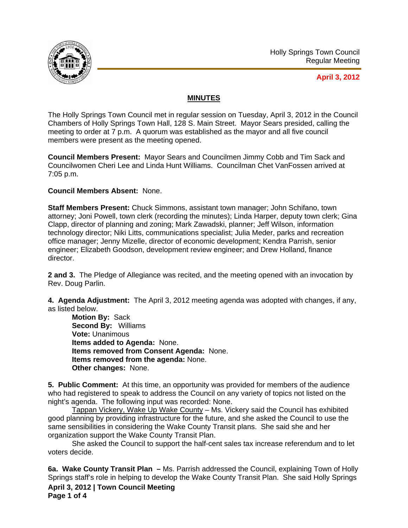

## **April 3, 2012**

## **MINUTES**

The Holly Springs Town Council met in regular session on Tuesday, April 3, 2012 in the Council Chambers of Holly Springs Town Hall, 128 S. Main Street. Mayor Sears presided, calling the meeting to order at 7 p.m. A quorum was established as the mayor and all five council members were present as the meeting opened.

**Council Members Present:** Mayor Sears and Councilmen Jimmy Cobb and Tim Sack and Councilwomen Cheri Lee and Linda Hunt Williams. Councilman Chet VanFossen arrived at 7:05 p.m.

## **Council Members Absent:** None.

**Staff Members Present:** Chuck Simmons, assistant town manager; John Schifano, town attorney; Joni Powell, town clerk (recording the minutes); Linda Harper, deputy town clerk; Gina Clapp, director of planning and zoning; Mark Zawadski, planner; Jeff Wilson, information technology director; Niki Litts, communications specialist; Julia Meder, parks and recreation office manager; Jenny Mizelle, director of economic development; Kendra Parrish, senior engineer; Elizabeth Goodson, development review engineer; and Drew Holland, finance director.

**2 and 3.** The Pledge of Allegiance was recited, and the meeting opened with an invocation by Rev. Doug Parlin.

**4. Agenda Adjustment:** The April 3, 2012 meeting agenda was adopted with changes, if any, as listed below.

**Motion By:** Sack **Second By:** Williams **Vote:** Unanimous **Items added to Agenda:** None. **Items removed from Consent Agenda:** None. **Items removed from the agenda:** None. **Other changes:** None.

**5. Public Comment:** At this time, an opportunity was provided for members of the audience who had registered to speak to address the Council on any variety of topics not listed on the night's agenda. The following input was recorded: None.

Tappan Vickery, Wake Up Wake County – Ms. Vickery said the Council has exhibited good planning by providing infrastructure for the future, and she asked the Council to use the same sensibilities in considering the Wake County Transit plans. She said she and her organization support the Wake County Transit Plan.

She asked the Council to support the half-cent sales tax increase referendum and to let voters decide.

**April 3, 2012 | Town Council Meeting Page 1 of 4 6a. Wake County Transit Plan –** Ms. Parrish addressed the Council, explaining Town of Holly Springs staff's role in helping to develop the Wake County Transit Plan. She said Holly Springs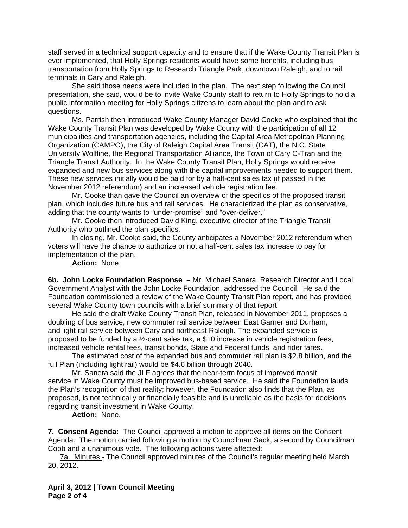staff served in a technical support capacity and to ensure that if the Wake County Transit Plan is ever implemented, that Holly Springs residents would have some benefits, including bus transportation from Holly Springs to Research Triangle Park, downtown Raleigh, and to rail terminals in Cary and Raleigh.

 She said those needs were included in the plan. The next step following the Council presentation, she said, would be to invite Wake County staff to return to Holly Springs to hold a public information meeting for Holly Springs citizens to learn about the plan and to ask questions.

 Ms. Parrish then introduced Wake County Manager David Cooke who explained that the Wake County Transit Plan was developed by Wake County with the participation of all 12 municipalities and transportation agencies, including the Capital Area Metropolitan Planning Organization (CAMPO), the City of Raleigh Capital Area Transit (CAT), the N.C. State University Wolfline, the Regional Transportation Alliance, the Town of Cary C-Tran and the Triangle Transit Authority. In the Wake County Transit Plan, Holly Springs would receive expanded and new bus services along with the capital improvements needed to support them. These new services initially would be paid for by a half-cent sales tax (if passed in the November 2012 referendum) and an increased vehicle registration fee.

 Mr. Cooke than gave the Council an overview of the specifics of the proposed transit plan, which includes future bus and rail services. He characterized the plan as conservative, adding that the county wants to "under-promise" and "over-deliver."

 Mr. Cooke then introduced David King, executive director of the Triangle Transit Authority who outlined the plan specifics.

 In closing, Mr. Cooke said, the County anticipates a November 2012 referendum when voters will have the chance to authorize or not a half-cent sales tax increase to pay for implementation of the plan.

**Action:** None.

**6b. John Locke Foundation Response –** Mr. Michael Sanera, Research Director and Local Government Analyst with the John Locke Foundation, addressed the Council. He said the Foundation commissioned a review of the Wake County Transit Plan report, and has provided several Wake County town councils with a brief summary of that report.

 He said the draft Wake County Transit Plan, released in November 2011, proposes a doubling of bus service, new commuter rail service between East Garner and Durham, and light rail service between Cary and northeast Raleigh. The expanded service is proposed to be funded by a  $\frac{1}{2}$ -cent sales tax, a \$10 increase in vehicle registration fees, increased vehicle rental fees, transit bonds, State and Federal funds, and rider fares.

The estimated cost of the expanded bus and commuter rail plan is \$2.8 billion, and the full Plan (including light rail) would be \$4.6 billion through 2040.

Mr. Sanera said the JLF agrees that the near-term focus of improved transit service in Wake County must be improved bus-based service. He said the Foundation lauds the Plan's recognition of that reality; however, the Foundation also finds that the Plan, as proposed, is not technically or financially feasible and is unreliable as the basis for decisions regarding transit investment in Wake County.

**Action:** None.

**7. Consent Agenda:** The Council approved a motion to approve all items on the Consent Agenda. The motion carried following a motion by Councilman Sack, a second by Councilman Cobb and a unanimous vote. The following actions were affected:

7a. Minutes - The Council approved minutes of the Council's regular meeting held March 20, 2012.

**April 3, 2012 | Town Council Meeting Page 2 of 4**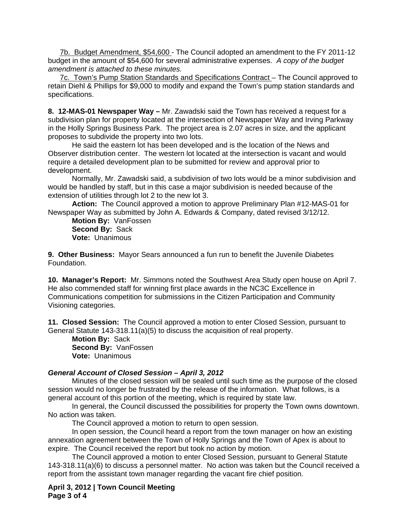7b. Budget Amendment, \$54,600 - The Council adopted an amendment to the FY 2011-12 budget in the amount of \$54,600 for several administrative expenses. *A copy of the budget amendment is attached to these minutes.* 

7c. Town's Pump Station Standards and Specifications Contract – The Council approved to retain Diehl & Phillips for \$9,000 to modify and expand the Town's pump station standards and specifications.

**8. 12-MAS-01 Newspaper Way –** Mr. Zawadski said the Town has received a request for a subdivision plan for property located at the intersection of Newspaper Way and Irving Parkway in the Holly Springs Business Park. The project area is 2.07 acres in size, and the applicant proposes to subdivide the property into two lots.

He said the eastern lot has been developed and is the location of the News and Observer distribution center. The western lot located at the intersection is vacant and would require a detailed development plan to be submitted for review and approval prior to development.

Normally, Mr. Zawadski said, a subdivision of two lots would be a minor subdivision and would be handled by staff, but in this case a major subdivision is needed because of the extension of utilities through lot 2 to the new lot 3.

**Action:** The Council approved a motion to approve Preliminary Plan #12-MAS-01 for Newspaper Way as submitted by John A. Edwards & Company, dated revised 3/12/12.

**Motion By:** VanFossen **Second By:** Sack **Vote:** Unanimous

**9. Other Business:** Mayor Sears announced a fun run to benefit the Juvenile Diabetes Foundation.

**10. Manager's Report:** Mr. Simmons noted the Southwest Area Study open house on April 7. He also commended staff for winning first place awards in the NC3C Excellence in Communications competition for submissions in the Citizen Participation and Community Visioning categories.

**11. Closed Session:** The Council approved a motion to enter Closed Session, pursuant to General Statute 143-318.11(a)(5) to discuss the acquisition of real property.

**Motion By:** Sack **Second By:** VanFossen **Vote:** Unanimous

## *General Account of Closed Session – April 3, 2012*

 Minutes of the closed session will be sealed until such time as the purpose of the closed session would no longer be frustrated by the release of the information. What follows, is a general account of this portion of the meeting, which is required by state law.

 In general, the Council discussed the possibilities for property the Town owns downtown. No action was taken.

The Council approved a motion to return to open session.

 In open session, the Council heard a report from the town manager on how an existing annexation agreement between the Town of Holly Springs and the Town of Apex is about to expire. The Council received the report but took no action by motion.

 The Council approved a motion to enter Closed Session, pursuant to General Statute 143-318.11(a)(6) to discuss a personnel matter. No action was taken but the Council received a report from the assistant town manager regarding the vacant fire chief position.

**April 3, 2012 | Town Council Meeting Page 3 of 4**